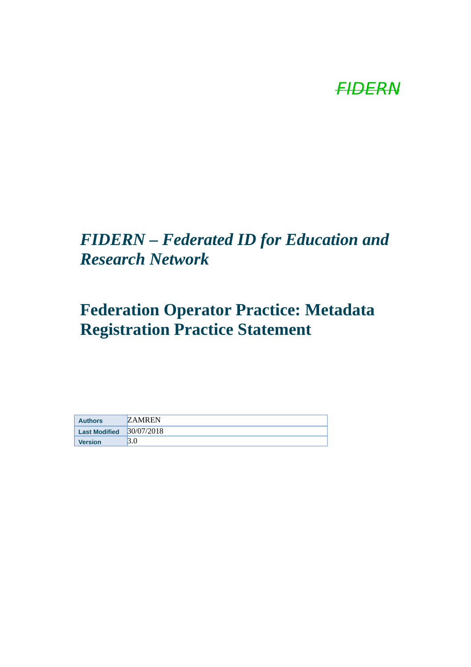# **FIDERN**

### *FIDERN – Federated ID for Education and Research Network*

## **Federation Operator Practice: Metadata Registration Practice Statement**

| <b>Authors</b>       | <b>ZAMREN</b> |
|----------------------|---------------|
| <b>Last Modified</b> | 30/07/2018    |
| <b>Version</b>       |               |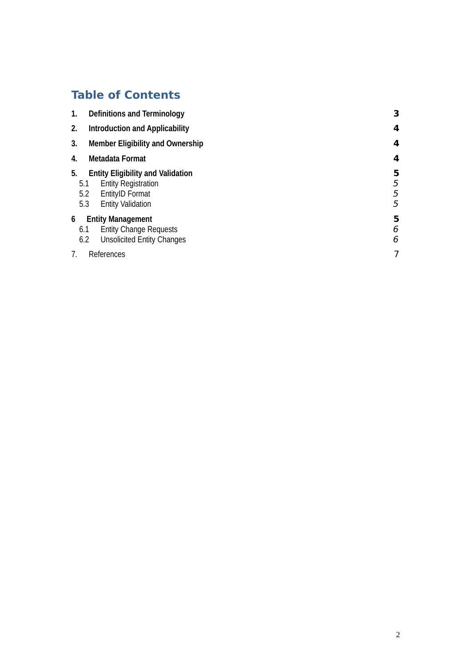### **Table of Contents**

| 1.                                            | <b>Definitions and Terminology</b>    |                                                                                                                              | 3                |
|-----------------------------------------------|---------------------------------------|------------------------------------------------------------------------------------------------------------------------------|------------------|
| 2.                                            | <b>Introduction and Applicability</b> |                                                                                                                              |                  |
| 3.<br><b>Member Eligibility and Ownership</b> |                                       | 4                                                                                                                            |                  |
| <b>Metadata Format</b><br>4.                  |                                       |                                                                                                                              |                  |
| 5.                                            | 5.1<br>5.2<br>5.3                     | <b>Entity Eligibility and Validation</b><br><b>Entity Registration</b><br><b>EntityID Format</b><br><b>Entity Validation</b> | 5<br>5<br>5<br>5 |
| 6                                             |                                       | <b>Entity Management</b>                                                                                                     | 5                |
|                                               | 6.1<br>6.2                            | <b>Entity Change Requests</b><br><b>Unsolicited Entity Changes</b>                                                           | 6<br>6           |
| 7.                                            |                                       | $\overline{7}$<br>References                                                                                                 |                  |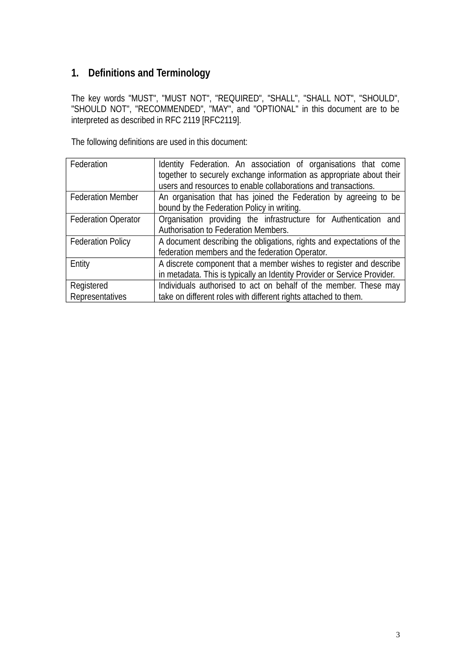### <span id="page-2-0"></span>**1. Definitions and Terminology**

The key words "MUST", "MUST NOT", "REQUIRED", "SHALL", "SHALL NOT", "SHOULD", "SHOULD NOT", "RECOMMENDED", "MAY", and "OPTIONAL" in this document are to be interpreted as described in RFC 2119 [RFC2119].

The following definitions are used in this document:

| Federation                    | Identity Federation. An association of organisations that come<br>together to securely exchange information as appropriate about their<br>users and resources to enable collaborations and transactions. |
|-------------------------------|----------------------------------------------------------------------------------------------------------------------------------------------------------------------------------------------------------|
| <b>Federation Member</b>      | An organisation that has joined the Federation by agreeing to be<br>bound by the Federation Policy in writing.                                                                                           |
| <b>Federation Operator</b>    | Organisation providing the infrastructure for Authentication and<br>Authorisation to Federation Members.                                                                                                 |
| <b>Federation Policy</b>      | A document describing the obligations, rights and expectations of the<br>federation members and the federation Operator.                                                                                 |
| Entity                        | A discrete component that a member wishes to register and describe<br>in metadata. This is typically an Identity Provider or Service Provider.                                                           |
| Registered<br>Representatives | Individuals authorised to act on behalf of the member. These may<br>take on different roles with different rights attached to them.                                                                      |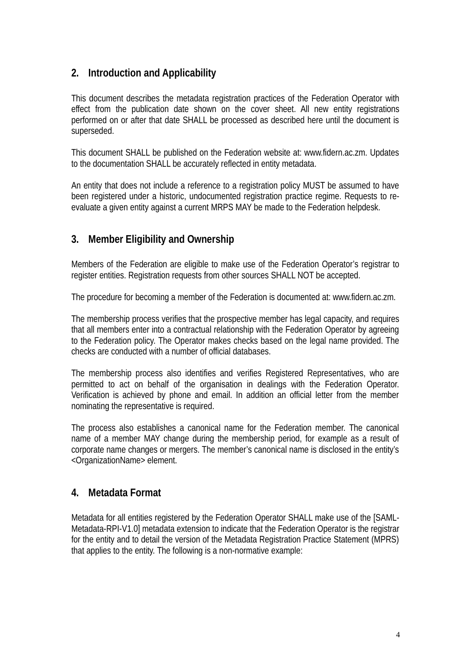#### <span id="page-3-2"></span>**2. Introduction and Applicability**

This document describes the metadata registration practices of the Federation Operator with effect from the publication date shown on the cover sheet. All new entity registrations performed on or after that date SHALL be processed as described here until the document is superseded.

This document SHALL be published on the Federation website at: www.fidern.ac.zm. Updates to the documentation SHALL be accurately reflected in entity metadata.

An entity that does not include a reference to a registration policy MUST be assumed to have been registered under a historic, undocumented registration practice regime. Requests to reevaluate a given entity against a current MRPS MAY be made to the Federation helpdesk.

#### <span id="page-3-1"></span>**3. Member Eligibility and Ownership**

Members of the Federation are eligible to make use of the Federation Operator's registrar to register entities. Registration requests from other sources SHALL NOT be accepted.

The procedure for becoming a member of the Federation is documented at: www.fidern.ac.zm.

The membership process verifies that the prospective member has legal capacity, and requires that all members enter into a contractual relationship with the Federation Operator by agreeing to the Federation policy. The Operator makes checks based on the legal name provided. The checks are conducted with a number of official databases.

The membership process also identifies and verifies Registered Representatives, who are permitted to act on behalf of the organisation in dealings with the Federation Operator. Verification is achieved by phone and email. In addition an official letter from the member nominating the representative is required.

The process also establishes a canonical name for the Federation member. The canonical name of a member MAY change during the membership period, for example as a result of corporate name changes or mergers. The member's canonical name is disclosed in the entity's <OrganizationName> element.

#### <span id="page-3-0"></span>**4. Metadata Format**

Metadata for all entities registered by the Federation Operator SHALL make use of the [SAML-Metadata-RPI-V1.0] metadata extension to indicate that the Federation Operator is the registrar for the entity and to detail the version of the Metadata Registration Practice Statement (MPRS) that applies to the entity. The following is a non-normative example: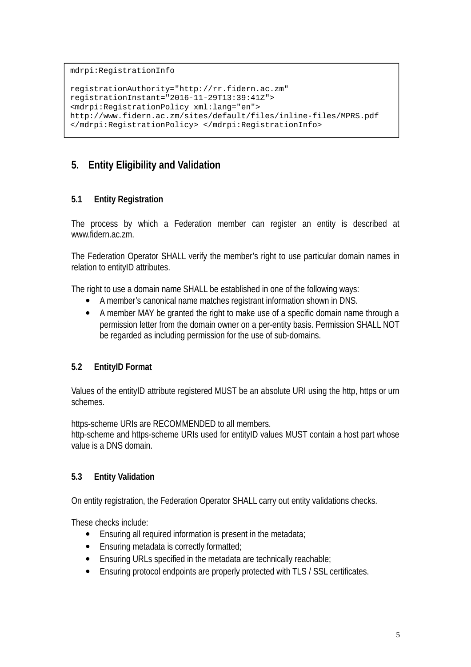mdrpi:RegistrationInfo

```
registrationAuthority="http://rr.fidern.ac.zm" 
registrationInstant="2016-11-29T13:39:41Z"> 
<mdrpi:RegistrationPolicy xml:lang="en"> 
http://www.fidern.ac.zm/sites/default/files/inline-files/MPRS.pdf 
</mdrpi:RegistrationPolicy> </mdrpi:RegistrationInfo>
```
#### <span id="page-4-3"></span>**5. Entity Eligibility and Validation**

#### <span id="page-4-2"></span>**5.1 Entity Registration**

The process by which a Federation member can register an entity is described at www.fidern.ac.zm.

The Federation Operator SHALL verify the member's right to use particular domain names in relation to entityID attributes.

The right to use a domain name SHALL be established in one of the following ways:

- A member's canonical name matches registrant information shown in DNS.
- A member MAY be granted the right to make use of a specific domain name through a permission letter from the domain owner on a per-entity basis. Permission SHALL NOT be regarded as including permission for the use of sub-domains.

#### <span id="page-4-1"></span>**5.2 EntityID Format**

Values of the entityID attribute registered MUST be an absolute URI using the http, https or urn schemes.

https-scheme URIs are RECOMMENDED to all members. http-scheme and https-scheme URIs used for entityID values MUST contain a host part whose value is a DNS domain.

#### <span id="page-4-0"></span>**5.3 Entity Validation**

On entity registration, the Federation Operator SHALL carry out entity validations checks.

These checks include:

- Ensuring all required information is present in the metadata;
- Ensuring metadata is correctly formatted;
- Ensuring URLs specified in the metadata are technically reachable;
- Ensuring protocol endpoints are properly protected with TLS / SSL certificates.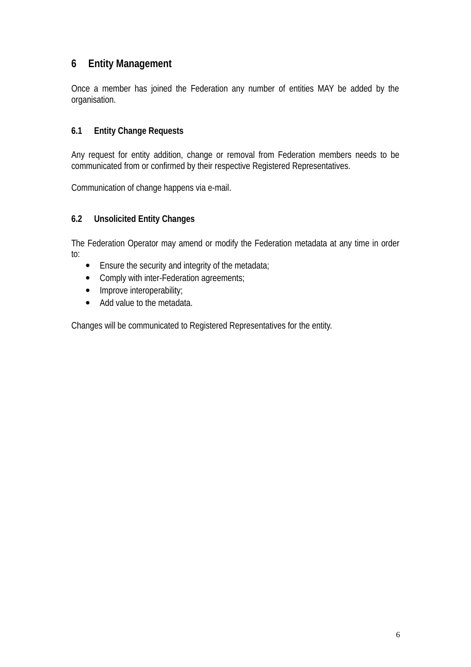#### <span id="page-5-2"></span>**6 Entity Management**

Once a member has joined the Federation any number of entities MAY be added by the organisation.

#### <span id="page-5-1"></span>**6.1 Entity Change Requests**

Any request for entity addition, change or removal from Federation members needs to be communicated from or confirmed by their respective Registered Representatives.

Communication of change happens via e-mail.

#### <span id="page-5-0"></span>**6.2 Unsolicited Entity Changes**

The Federation Operator may amend or modify the Federation metadata at any time in order to:

- Ensure the security and integrity of the metadata;
- Comply with inter-Federation agreements;
- Improve interoperability;
- Add value to the metadata.

Changes will be communicated to Registered Representatives for the entity.